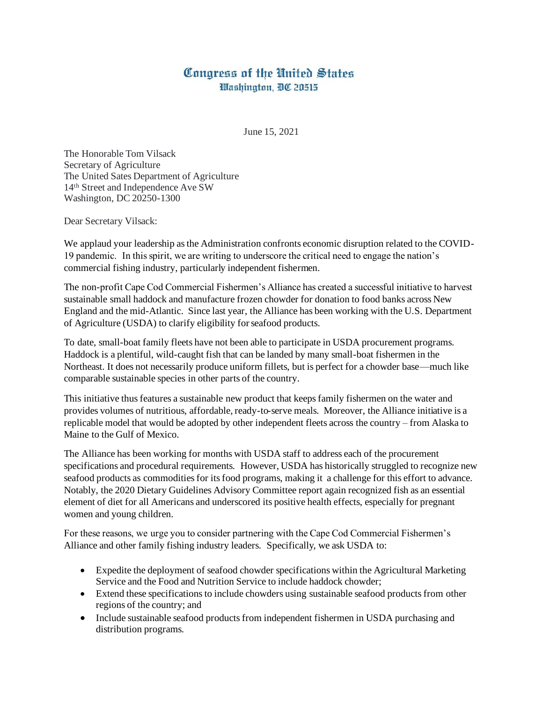## Congress of the United States Washington, DC 20515

June 15, 2021

The Honorable Tom Vilsack Secretary of Agriculture The United Sates Department of Agriculture 14th Street and Independence Ave SW Washington, DC 20250-1300

Dear Secretary Vilsack:

We applaud your leadership as the Administration confronts economic disruption related to the COVID-19 pandemic. In this spirit, we are writing to underscore the critical need to engage the nation's commercial fishing industry, particularly independent fishermen.

The non-profit Cape Cod Commercial Fishermen's Alliance has created a successful initiative to harvest sustainable small haddock and manufacture frozen chowder for donation to food banks across New England and the mid-Atlantic. Since last year, the Alliance has been working with the U.S. Department of Agriculture (USDA) to clarify eligibility for seafood products.

To date, small-boat family fleets have not been able to participate in USDA procurement programs. Haddock is a plentiful, wild-caught fish that can be landed by many small-boat fishermen in the Northeast. It does not necessarily produce uniform fillets, but is perfect for a chowder base—much like comparable sustainable species in other parts of the country.

This initiative thus features a sustainable new product that keeps family fishermen on the water and provides volumes of nutritious, affordable, ready-to-serve meals. Moreover, the Alliance initiative is a replicable model that would be adopted by other independent fleets across the country – from Alaska to Maine to the Gulf of Mexico.

The Alliance has been working for months with USDA staff to address each of the procurement specifications and procedural requirements. However, USDA has historically struggled to recognize new seafood products as commodities for its food programs, making it a challenge for this effort to advance. Notably, the 2020 Dietary Guidelines Advisory Committee report again recognized fish as an essential element of diet for all Americans and underscored its positive health effects, especially for pregnant women and young children.

For these reasons, we urge you to consider partnering with the Cape Cod Commercial Fishermen's Alliance and other family fishing industry leaders. Specifically, we ask USDA to:

- Expedite the deployment of seafood chowder specifications within the Agricultural Marketing Service and the Food and Nutrition Service to include haddock chowder;
- Extend these specifications to include chowders using sustainable seafood products from other regions of the country; and
- Include sustainable seafood products from independent fishermen in USDA purchasing and distribution programs.